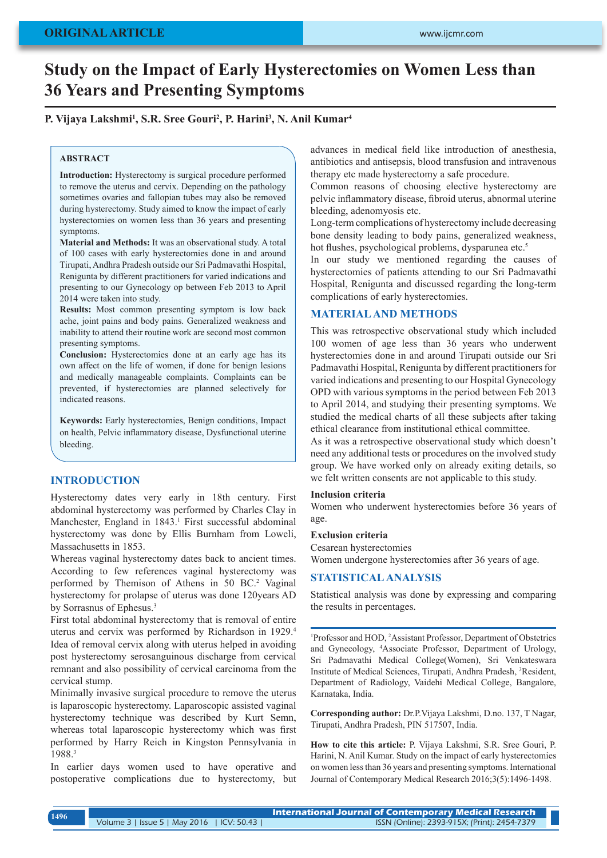# **Study on the Impact of Early Hysterectomies on Women Less than 36 Years and Presenting Symptoms**

# **P. Vijaya Lakshmi1 , S.R. Sree Gouri2 , P. Harini3 , N. Anil Kumar4**

#### **ABSTRACT**

**Introduction:** Hysterectomy is surgical procedure performed to remove the uterus and cervix. Depending on the pathology sometimes ovaries and fallopian tubes may also be removed during hysterectomy. Study aimed to know the impact of early hysterectomies on women less than 36 years and presenting symptoms.

**Material and Methods:** It was an observational study. A total of 100 cases with early hysterectomies done in and around Tirupati, Andhra Pradesh outside our Sri Padmavathi Hospital, Renigunta by different practitioners for varied indications and presenting to our Gynecology op between Feb 2013 to April 2014 were taken into study.

**Results:** Most common presenting symptom is low back ache, joint pains and body pains. Generalized weakness and inability to attend their routine work are second most common presenting symptoms.

**Conclusion:** Hysterectomies done at an early age has its own affect on the life of women, if done for benign lesions and medically manageable complaints. Complaints can be prevented, if hysterectomies are planned selectively for indicated reasons.

**Keywords:** Early hysterectomies, Benign conditions, Impact on health, Pelvic inflammatory disease, Dysfunctional uterine bleeding.

## **INTRODUCTION**

Hysterectomy dates very early in 18th century. First abdominal hysterectomy was performed by Charles Clay in Manchester, England in 1843.<sup>1</sup> First successful abdominal hysterectomy was done by Ellis Burnham from Loweli, Massachusetts in 1853.

Whereas vaginal hysterectomy dates back to ancient times. According to few references vaginal hysterectomy was performed by Themison of Athens in 50 BC.<sup>2</sup> Vaginal hysterectomy for prolapse of uterus was done 120years AD by Sorrasnus of Ephesus.<sup>3</sup>

First total abdominal hysterectomy that is removal of entire uterus and cervix was performed by Richardson in 1929.4 Idea of removal cervix along with uterus helped in avoiding post hysterectomy serosanguinous discharge from cervical remnant and also possibility of cervical carcinoma from the cervical stump.

Minimally invasive surgical procedure to remove the uterus is laparoscopic hysterectomy. Laparoscopic assisted vaginal hysterectomy technique was described by Kurt Semn, whereas total laparoscopic hysterectomy which was first performed by Harry Reich in Kingston Pennsylvania in 1988.3

In earlier days women used to have operative and postoperative complications due to hysterectomy, but advances in medical field like introduction of anesthesia, antibiotics and antisepsis, blood transfusion and intravenous therapy etc made hysterectomy a safe procedure.

Common reasons of choosing elective hysterectomy are pelvic inflammatory disease, fibroid uterus, abnormal uterine bleeding, adenomyosis etc.

Long-term complications of hysterectomy include decreasing bone density leading to body pains, generalized weakness, hot flushes, psychological problems, dysparunea etc.<sup>5</sup>

In our study we mentioned regarding the causes of hysterectomies of patients attending to our Sri Padmavathi Hospital, Renigunta and discussed regarding the long-term complications of early hysterectomies.

#### **MATERIAL AND METHODS**

This was retrospective observational study which included 100 women of age less than 36 years who underwent hysterectomies done in and around Tirupati outside our Sri Padmavathi Hospital, Renigunta by different practitioners for varied indications and presenting to our Hospital Gynecology OPD with various symptoms in the period between Feb 2013 to April 2014, and studying their presenting symptoms. We studied the medical charts of all these subjects after taking ethical clearance from institutional ethical committee.

As it was a retrospective observational study which doesn't need any additional tests or procedures on the involved study group. We have worked only on already exiting details, so we felt written consents are not applicable to this study.

#### **Inclusion criteria**

Women who underwent hysterectomies before 36 years of age.

#### **Exclusion criteria**

Cesarean hysterectomies

Women undergone hysterectomies after 36 years of age.

# **STATISTICAL ANALYSIS**

Statistical analysis was done by expressing and comparing the results in percentages.

<sup>1</sup>Professor and HOD, <sup>2</sup>Assistant Professor, Department of Obstetrics and Gynecology, 4 Associate Professor, Department of Urology, Sri Padmavathi Medical College(Women), Sri Venkateswara Institute of Medical Sciences, Tirupati, Andhra Pradesh, 3 Resident, Department of Radiology, Vaidehi Medical College, Bangalore, Karnataka, India.

**Corresponding author:** Dr.P.Vijaya Lakshmi, D.no. 137, T Nagar, Tirupati, Andhra Pradesh, PIN 517507, India.

**How to cite this article:** P. Vijaya Lakshmi, S.R. Sree Gouri, P. Harini, N. Anil Kumar. Study on the impact of early hysterectomies on women less than 36 years and presenting symptoms. International Journal of Contemporary Medical Research 2016;3(5):1496-1498.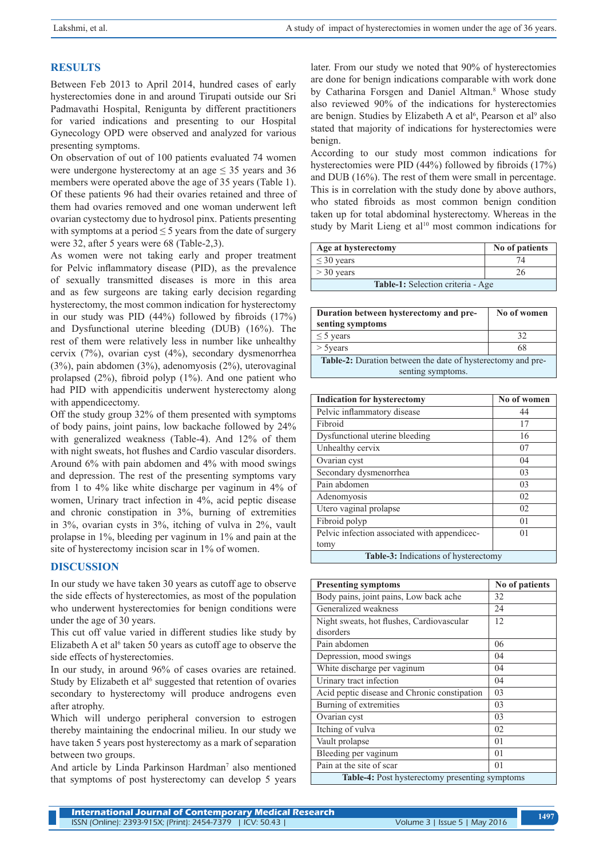# **RESULTS**

Between Feb 2013 to April 2014, hundred cases of early hysterectomies done in and around Tirupati outside our Sri Padmavathi Hospital, Renigunta by different practitioners for varied indications and presenting to our Hospital Gynecology OPD were observed and analyzed for various presenting symptoms.

On observation of out of 100 patients evaluated 74 women were undergone hysterectomy at an age  $\leq$  35 years and 36 members were operated above the age of 35 years (Table 1). Of these patients 96 had their ovaries retained and three of them had ovaries removed and one woman underwent left ovarian cystectomy due to hydrosol pinx. Patients presenting with symptoms at a period  $\leq$  5 years from the date of surgery were 32, after 5 years were 68 (Table-2,3).

As women were not taking early and proper treatment for Pelvic inflammatory disease (PID), as the prevalence of sexually transmitted diseases is more in this area and as few surgeons are taking early decision regarding hysterectomy, the most common indication for hysterectomy in our study was PID (44%) followed by fibroids (17%) and Dysfunctional uterine bleeding (DUB) (16%). The rest of them were relatively less in number like unhealthy cervix (7%), ovarian cyst (4%), secondary dysmenorrhea (3%), pain abdomen (3%), adenomyosis (2%), uterovaginal prolapsed (2%), fibroid polyp (1%). And one patient who had PID with appendicitis underwent hysterectomy along with appendicectomy.

Off the study group 32% of them presented with symptoms of body pains, joint pains, low backache followed by 24% with generalized weakness (Table-4). And 12% of them with night sweats, hot flushes and Cardio vascular disorders. Around 6% with pain abdomen and 4% with mood swings and depression. The rest of the presenting symptoms vary from 1 to 4% like white discharge per vaginum in 4% of women, Urinary tract infection in 4%, acid peptic disease and chronic constipation in 3%, burning of extremities in 3%, ovarian cysts in 3%, itching of vulva in 2%, vault prolapse in 1%, bleeding per vaginum in 1% and pain at the site of hysterectomy incision scar in 1% of women.

# **DISCUSSION**

In our study we have taken 30 years as cutoff age to observe the side effects of hysterectomies, as most of the population who underwent hysterectomies for benign conditions were under the age of 30 years.

This cut off value varied in different studies like study by Elizabeth A et al<sup> $6$ </sup> taken 50 years as cutoff age to observe the side effects of hysterectomies.

In our study, in around 96% of cases ovaries are retained. Study by Elizabeth et al<sup>6</sup> suggested that retention of ovaries secondary to hysterectomy will produce androgens even after atrophy.

Which will undergo peripheral conversion to estrogen thereby maintaining the endocrinal milieu. In our study we have taken 5 years post hysterectomy as a mark of separation between two groups.

And article by Linda Parkinson Hardman<sup>7</sup> also mentioned that symptoms of post hysterectomy can develop 5 years

later. From our study we noted that 90% of hysterectomies are done for benign indications comparable with work done by Catharina Forsgen and Daniel Altman.<sup>8</sup> Whose study also reviewed 90% of the indications for hysterectomies are benign. Studies by Elizabeth A et al<sup>6</sup>, Pearson et al<sup>9</sup> also stated that majority of indications for hysterectomies were benign.

According to our study most common indications for hysterectomies were PID (44%) followed by fibroids (17%) and DUB (16%). The rest of them were small in percentage. This is in correlation with the study done by above authors, who stated fibroids as most common benign condition taken up for total abdominal hysterectomy. Whereas in the study by Marit Lieng et al<sup>10</sup> most common indications for

| Age at hysterectomy               | No of patients |  |
|-----------------------------------|----------------|--|
| $\leq$ 30 years                   |                |  |
| $>$ 30 years                      | 26             |  |
| Table-1: Selection criteria - Age |                |  |

| Duration between hysterectomy and pre-                             | No of women |  |
|--------------------------------------------------------------------|-------------|--|
| senting symptoms                                                   |             |  |
| $\leq$ 5 years                                                     | 32          |  |
| $>$ 5 years                                                        | 68          |  |
| <b>Table-2:</b> Duration between the date of hysterectomy and pre- |             |  |
| senting symptoms.                                                  |             |  |

| <b>Indication for hysterectomy</b>           | No of women    |  |
|----------------------------------------------|----------------|--|
| Pelvic inflammatory disease                  | 44             |  |
| Fibroid                                      | 17             |  |
| Dysfunctional uterine bleeding               | 16             |  |
| Unhealthy cervix                             | 07             |  |
| Ovarian cyst                                 | 04             |  |
| Secondary dysmenorrhea                       | 03             |  |
| Pain abdomen                                 | 03             |  |
| Adenomyosis                                  | 02             |  |
| Utero vaginal prolapse                       | 02             |  |
| Fibroid polyp                                | 0 <sub>1</sub> |  |
| Pelvic infection associated with appendicec- | $^{01}$        |  |
| tomy                                         |                |  |
| <b>Table-3:</b> Indications of hysterectomy  |                |  |

| <b>Presenting symptoms</b>                            | No of patients |
|-------------------------------------------------------|----------------|
| Body pains, joint pains, Low back ache                | 32             |
| Generalized weakness                                  | 24             |
| Night sweats, hot flushes, Cardiovascular             | 12             |
| disorders                                             |                |
| Pain abdomen                                          | 06             |
| Depression, mood swings                               | 04             |
| White discharge per vaginum                           | 04             |
| Urinary tract infection                               | 04             |
| Acid peptic disease and Chronic constipation          | 03             |
| Burning of extremities                                | 03             |
| Ovarian cyst                                          | 03             |
| Itching of vulva                                      | 02             |
| Vault prolapse                                        | 0 <sub>1</sub> |
| Bleeding per vaginum                                  | 0 <sub>1</sub> |
| Pain at the site of scar                              | 0 <sub>1</sub> |
| <b>Table-4:</b> Post hysterectomy presenting symptoms |                |